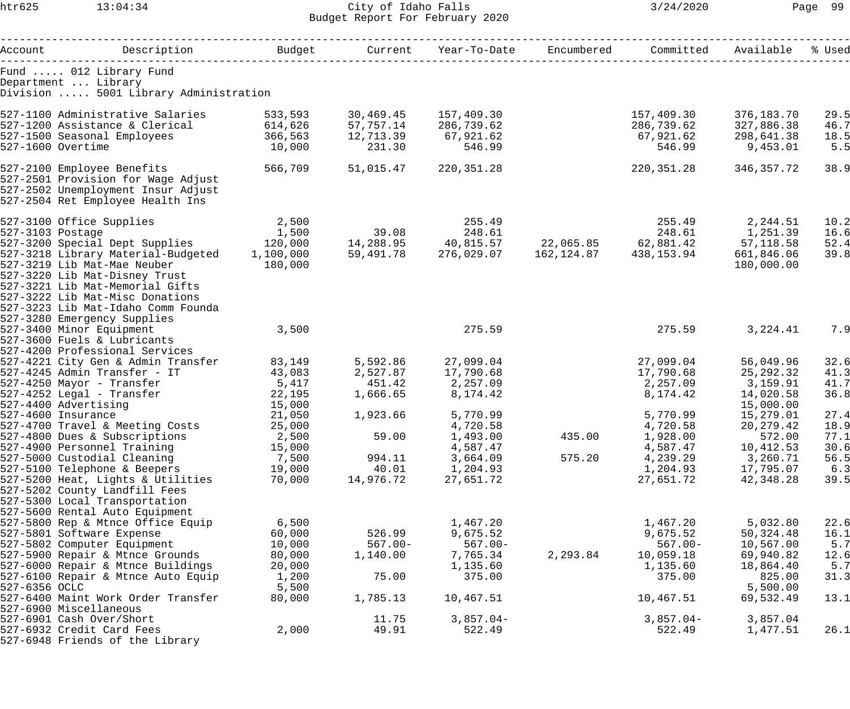## htr625 13:04:34 City of Idaho Falls 3/24/2020 Page 99 Budget Report For February 2020

| Account                                                      | Description     Budget   Current Year-To-Date Encumbered |                |            |                                                                                      |          |             | Committed Available | % Used |
|--------------------------------------------------------------|----------------------------------------------------------|----------------|------------|--------------------------------------------------------------------------------------|----------|-------------|---------------------|--------|
|                                                              |                                                          |                |            |                                                                                      |          |             |                     |        |
| Fund  012 Library Fund                                       |                                                          |                |            |                                                                                      |          |             |                     |        |
| Department  Library<br>Division  5001 Library Administration |                                                          |                |            |                                                                                      |          |             |                     |        |
|                                                              |                                                          |                |            |                                                                                      |          |             |                     |        |
| 527-1100 Administrative Salaries                             |                                                          | 533,593        | 30,469.45  | 157,409.30                                                                           |          | 157,409.30  | 376,183.70          | 29.5   |
| 527-1200 Assistance & Clerical                               |                                                          | 614,626        | 57,757.14  | 286,739.62                                                                           |          | 286,739.62  | 327,886.38          | 46.7   |
| 527-1500 Seasonal Employees                                  |                                                          | 366,563        | 12,713.39  | 67,921.62                                                                            |          | 67,921.62   | 298,641.38          | 18.5   |
| 527-1600 Overtime                                            |                                                          | 10,000         | 231.30     | 546.99                                                                               |          | 546.99      | 9,453.01            | 5.5    |
|                                                              |                                                          |                |            |                                                                                      |          |             |                     |        |
| 527-2100 Employee Benefits                                   |                                                          | 566,709        | 51,015.47  | 220,351.28                                                                           |          | 220,351.28  | 346,357.72          | 38.9   |
| 527-2501 Provision for Wage Adjust                           |                                                          |                |            |                                                                                      |          |             |                     |        |
| 527-2502 Unemployment Insur Adjust                           |                                                          |                |            |                                                                                      |          |             |                     |        |
| 527-2504 Ret Employee Health Ins                             |                                                          |                |            |                                                                                      |          |             |                     |        |
| 527-3100 Office Supplies                                     |                                                          |                |            |                                                                                      |          |             |                     | 10.2   |
| 527-3103 Postage                                             |                                                          | 2,500<br>1,500 |            | 255.49<br>27,244.51<br>14,288.95<br>40,815.57<br>22,065.85<br>27,881.42<br>57,118.58 |          |             |                     | 16.6   |
|                                                              |                                                          |                |            |                                                                                      |          |             |                     | 52.4   |
| 527-3218 Library Material-Budgeted 1,100,000                 |                                                          |                |            | 59,491.78 276,029.07 162,124.87                                                      |          | 438,153.94  | 661,846.06          | 39.8   |
| 527-3219 Lib Mat-Mae Neuber                                  |                                                          | 180,000        |            |                                                                                      |          |             | 180,000.00          |        |
| 527-3220 Lib Mat-Disney Trust                                |                                                          |                |            |                                                                                      |          |             |                     |        |
| 527-3221 Lib Mat-Memorial Gifts                              |                                                          |                |            |                                                                                      |          |             |                     |        |
| 527-3222 Lib Mat-Misc Donations                              |                                                          |                |            |                                                                                      |          |             |                     |        |
| 527-3223 Lib Mat-Idaho Comm Founda                           |                                                          |                |            |                                                                                      |          |             |                     |        |
| 527-3280 Emergency Supplies                                  |                                                          |                |            |                                                                                      |          |             |                     |        |
| 527-3400 Minor Equipment                                     |                                                          | 3,500          |            | 275.59                                                                               |          | 275.59      | 3,224.41            | 7.9    |
| 527-3600 Fuels & Lubricants                                  |                                                          |                |            |                                                                                      |          |             |                     |        |
| 527-4200 Professional Services                               |                                                          |                |            |                                                                                      |          |             |                     |        |
| 527-4221 City Gen & Admin Transfer                           |                                                          | 83,149         | 5,592.86   | 27,099.04                                                                            |          | 27,099.04   | 56,049.96           | 32.6   |
| 527-4245 Admin Transfer - IT                                 |                                                          | 43,083         |            | 2,527.87 17,790.68                                                                   |          | 17,790.68   | 25, 292.32          | 41.3   |
| 527-4250 Mayor - Transfer                                    |                                                          | 5,417          | 451.42     | 2,257.09                                                                             |          | 2,257.09    | 3,159.91            | 41.7   |
| 527-4252 Legal - Transfer                                    |                                                          | 22,195         | 1,666.65   | 8,174.42                                                                             |          | 8,174.42    | 14,020.58           | 36.8   |
| 527-4400 Advertising                                         |                                                          | 15,000         |            |                                                                                      |          |             | 15,000.00           |        |
| 527-4600 Insurance                                           |                                                          | 21,050         | 1,923.66   | 5,770.99                                                                             |          | 5,770.99    | 15,279.01           | 27.4   |
| 527-4700 Travel & Meeting Costs                              |                                                          | 25,000         |            | 4,720.58                                                                             |          | 4,720.58    | 20, 279. 42         | 18.9   |
| 527-4800 Dues & Subscriptions                                |                                                          | 2,500          | 59.00      | 1,493.00                                                                             | 435.00   | 1,928.00    | 572.00              | 77.1   |
| 527-4900 Personnel Training                                  |                                                          | 15,000         |            | 4,587.47                                                                             |          | 4,587.47    | 10,412.53           | 30.6   |
| 527-5000 Custodial Cleaning                                  |                                                          | 7,500          | 994.11     | 3,664.09                                                                             | 575.20   | 4,239.29    | 3,260.71            | 56.5   |
| 527-5100 Telephone & Beepers                                 |                                                          | 19,000         | 40.01      | 1,204.93                                                                             |          | 1,204.93    | 17,795.07           | 6.3    |
| 527-5200 Heat, Lights & Utilities                            |                                                          | 70,000         | 14,976.72  | 27,651.72                                                                            |          | 27,651.72   | 42,348.28           | 39.5   |
| 527-5202 County Landfill Fees                                |                                                          |                |            |                                                                                      |          |             |                     |        |
| 527-5300 Local Transportation                                |                                                          |                |            |                                                                                      |          |             |                     |        |
| 527-5600 Rental Auto Equipment                               |                                                          |                |            |                                                                                      |          |             |                     |        |
| 527-5800 Rep & Mtnce Office Equip                            |                                                          | 6,500          |            | 1,467.20                                                                             |          | 1,467.20    | 5,032.80            | 22.6   |
| 527-5801 Software Expense                                    |                                                          | 60,000         | 526.99     | 9,675.52                                                                             |          | 9,675.52    | 50,324.48           | 16.1   |
| 527-5802 Computer Equipment                                  |                                                          | 10,000         | $567.00 -$ | $567.00 -$                                                                           |          | $567.00 -$  | 10,567.00           | 5.7    |
| 527-5900 Repair & Mtnce Grounds                              |                                                          | 80,000         | 1,140.00   | 7,765.34                                                                             | 2,293.84 | 10,059.18   | 69,940.82           | 12.6   |
| 527-6000 Repair & Mtnce Buildings                            |                                                          | 20,000         |            | 1,135.60                                                                             |          | 1,135.60    | 18,864.40           | 5.7    |
| 527-6100 Repair & Mtnce Auto Equip                           |                                                          | 1,200          | 75.00      | 375.00                                                                               |          | 375.00      | 825.00              | 31.3   |
| 527-6356 OCLC                                                |                                                          | 5,500          |            |                                                                                      |          |             | 5,500.00            |        |
| 527-6400 Maint Work Order Transfer                           |                                                          | 80,000         | 1,785.13   | 10,467.51                                                                            |          | 10,467.51   | 69,532.49           | 13.1   |
| 527-6900 Miscellaneous                                       |                                                          |                |            |                                                                                      |          |             |                     |        |
| 527-6901 Cash Over/Short                                     |                                                          |                | 11.75      | $3,857.04-$                                                                          |          | $3,857.04-$ | 3,857.04            |        |
| 527-6932 Credit Card Fees                                    |                                                          | 2,000          | 49.91      | 522.49                                                                               |          | 522.49      | 1,477.51            | 26.1   |
| 527-6948 Friends of the Library                              |                                                          |                |            |                                                                                      |          |             |                     |        |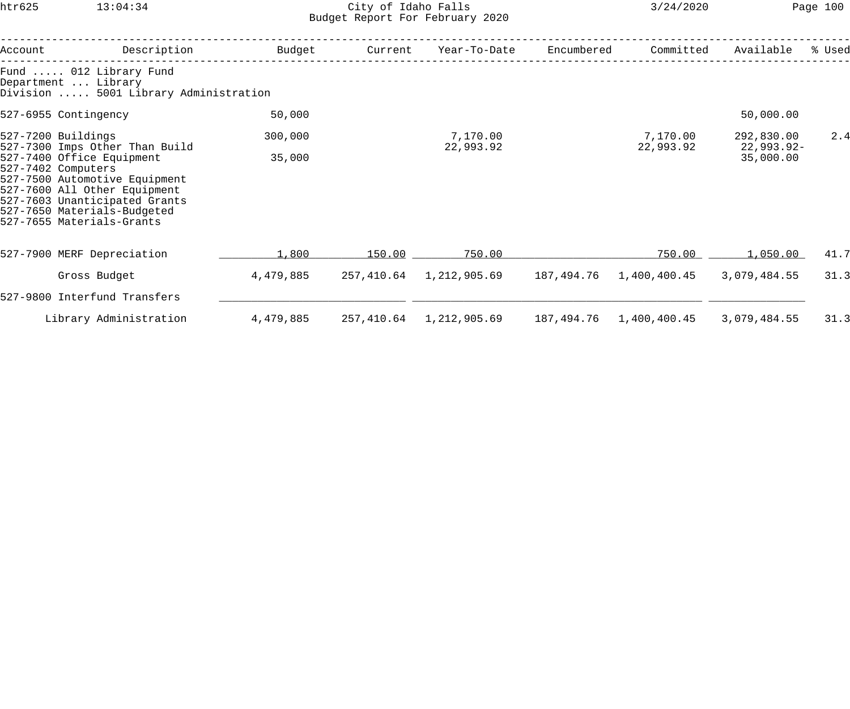## htr625 13:04:34 City of Idaho Falls 3/24/2020 Page 100 Budget Report For February 2020

| Account                                                                                                                                                                                                                                                               | Description                                                                            | Budget    | Current | Year-To-Date               | Encumbered | Committed                  | Available                  | % Used |
|-----------------------------------------------------------------------------------------------------------------------------------------------------------------------------------------------------------------------------------------------------------------------|----------------------------------------------------------------------------------------|-----------|---------|----------------------------|------------|----------------------------|----------------------------|--------|
|                                                                                                                                                                                                                                                                       | Fund  012 Library Fund<br>Department  Library<br>Division  5001 Library Administration |           |         |                            |            |                            |                            |        |
|                                                                                                                                                                                                                                                                       | 527-6955 Contingency                                                                   | 50,000    |         |                            |            |                            | 50,000.00                  |        |
| 527-7200 Buildings<br>527-7300 Imps Other Than Build<br>527-7400 Office Equipment<br>527-7402 Computers<br>527-7500 Automotive Equipment<br>527-7600 All Other Equipment<br>527-7603 Unanticipated Grants<br>527-7650 Materials-Budgeted<br>527-7655 Materials-Grants |                                                                                        | 300,000   |         | 7,170.00<br>22,993.92      |            | 7,170.00<br>22,993.92      | 292,830.00<br>$22,993.92-$ | 2.4    |
|                                                                                                                                                                                                                                                                       |                                                                                        | 35,000    |         |                            |            |                            | 35,000.00                  |        |
|                                                                                                                                                                                                                                                                       | 527-7900 MERF Depreciation                                                             | 1,800     | 150.00  | 750.00                     |            | 750.00                     | 1,050.00                   | 41.7   |
|                                                                                                                                                                                                                                                                       | Gross Budget                                                                           | 4,479,885 |         | 257,410.64    1,212,905.69 |            |                            | 3,079,484.55               | 31.3   |
|                                                                                                                                                                                                                                                                       | 527-9800 Interfund Transfers                                                           |           |         |                            |            |                            |                            |        |
|                                                                                                                                                                                                                                                                       | Library Administration                                                                 | 4,479,885 |         | 257,410.64 1,212,905.69    |            | 187,494.76    1,400,400.45 | 3,079,484.55               | 31.3   |
|                                                                                                                                                                                                                                                                       |                                                                                        |           |         |                            |            |                            |                            |        |